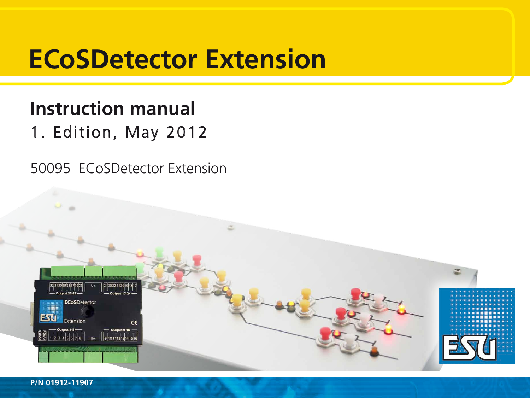# **ECoSDetector Extension**

# **Instruction manual** 1. Edition, May 2012

50095 ECoSDetector Extension

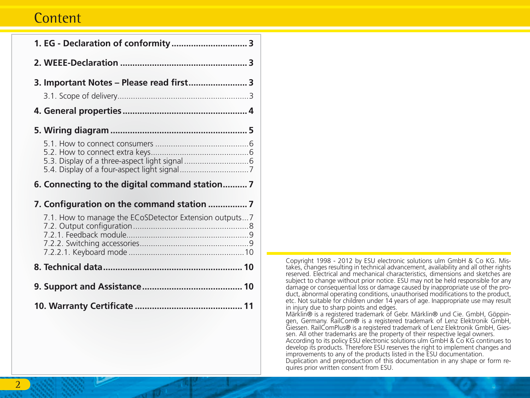# **Content**

| 1. EG - Declaration of conformity 3                     |  |
|---------------------------------------------------------|--|
|                                                         |  |
| 3. Important Notes - Please read first 3                |  |
|                                                         |  |
|                                                         |  |
| 6. Connecting to the digital command station7           |  |
|                                                         |  |
| 7.1. How to manage the ECoSDetector Extension outputs 7 |  |
|                                                         |  |
|                                                         |  |
|                                                         |  |

Copyright 1998 - 2012 by ESU electronic solutions ulm GmbH & Co KG. Mis- takes, changes resulting in technical advancement, availability and all other rights reserved. Electrical and mechanical characteristics, dimensions and sketches are subject to change without prior notice. ESU may not be held responsible for any damage or consequential loss or damage caused by inappropriate use of the product. abnormal operating conditions, unauthorised modifications to the product, etc. Not suitable for children under 14 years of age. Inappropriate use may result in injury due to sharp points and edges. Märklin® is a registered trademark of Gebr. Märklin® und Cie. GmbH, Göppinwinding the discussion of the registered trademark of Lenz Elektronik GmbH,<br>Giessen. RailComPlus® is a registered trademark of Lenz Elektronik GmbH, Gies-Giessen. RailCommus® is a registered trademark of Lenz Elektronic CmbH, Gies-

According to its policy ESU electronic solutions ulm GmbH & Co KG continues to develop its products. Therefore ESU reserves the right to implement changes and improvements to any of the products listed in the ESU documentation. Duplication and preproduction of this documentation in any shape or form requires prior written consent from ESU.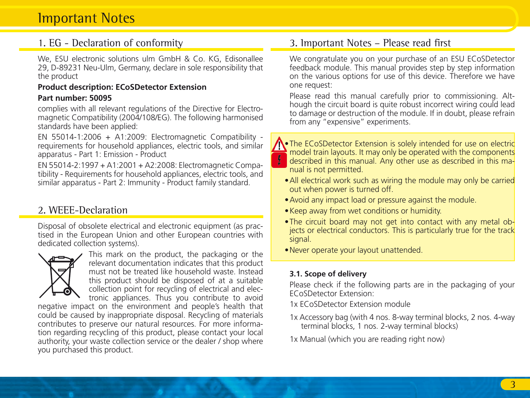# Important Notes

### 1. EG - Declaration of conformity

We, ESU electronic solutions ulm GmbH & Co. KG, Edisonallee 29, D-89231 Neu-Ulm, Germany, declare in sole responsibility that the product

#### **Product description: ECoSDetector Extension**

#### **Part number: 50095**

complies with all relevant regulations of the Directive for Electromagnetic Compatibility (2004/108/EG). The following harmonised standards have been applied:

EN 55014-1:2006 + A1:2009: Electromagnetic Compatibility requirements for household appliances, electric tools, and similar apparatus - Part 1: Emission - Product

EN 55014-2:1997 + A1:2001 + A2:2008: Electromagnetic Compatibility - Requirements for household appliances, electric tools, and similar apparatus - Part 2: Immunity - Product family standard.

## 2. WEEE-Declaration

Disposal of obsolete electrical and electronic equipment (as practised in the European Union and other European countries with dedicated collection systems).



This mark on the product, the packaging or the relevant documentation indicates that this product must not be treated like household waste. Instead this product should be disposed of at a suitable collection point for recycling of electrical and electronic appliances. Thus you contribute to avoid

negative impact on the environment and people's health that could be caused by inappropriate disposal. Recycling of materials contributes to preserve our natural resources. For more information regarding recycling of this product, please contact your local authority, your waste collection service or the dealer / shop where you purchased this product.

### 3. Important Notes – Please read first

We congratulate you on your purchase of an ESU ECoSDetector feedback module. This manual provides step by step information on the various options for use of this device. Therefore we have one request:

Please read this manual carefully prior to commissioning. Although the circuit board is quite robust incorrect wiring could lead to damage or destruction of the module. If in doubt, please refrain from any "expensive" experiments.



The ECoSDetector Extension is solely intended for use on electric model train layouts. It may only be operated with the components described in this manual. Any other use as described in this manual is not permitted.

- All electrical work such as wiring the module may only be carried out when power is turned off.
- Avoid any impact load or pressure against the module.
- • Keep away from wet conditions or humidity.
- The circuit board may not get into contact with any metal objects or electrical conductors. This is particularly true for the track signal.
- • Never operate your layout unattended.

#### **3.1. Scope of delivery**

Please check if the following parts are in the packaging of your ECoSDetector Extension:

1x ECoSDetector Extension module

- 1x Accessory bag (with 4 nos. 8-way terminal blocks, 2 nos. 4-way terminal blocks, 1 nos. 2-way terminal blocks)
- 1x Manual (which you are reading right now)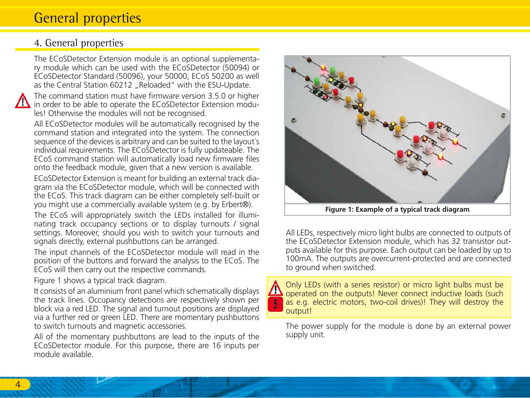# General properties

### 4. General properties

The ECoSDetector Extension module is an optional supplementary module which can be used with the ECoSDetector (50094) or ECoSDetector Standard (50096), your 50000, ECoS 50200 as well as the Central Station 60212 "Reloaded" with the ESU-Update.

The command station must have firmware version 3.5.0 or higher in order to be able to operate the ECoSDetector Extension modules! Otherwise the modules will not be recognised.

All ECoSDetector modules will be automatically recognised by the command station and integrated into the system. The connection sequence of the devices is arbitrary and can be suited to the layout´s individual requirements. The ECoSDetector is fully updateable. The ECoS command station will automatically load new firmware files onto the feedback module, given that a new version is available.

ECoSDetector Extension is meant for building an external track diagram via the ECoSDetector module, which will be connected with the ECoS. This track diagram can be either completely self-built or you might use a commercially available system (e.g. by Erbert®).

The ECoS will appropriately switch the LEDs installed for illuminating track occupancy sections or to display turnouts / signal settings. Moreover, should you wish to switch your turnouts and signals directly, external pushbuttons can be arranged.

The input channels of the ECoSDetector module will read in the position of the buttons and forward the analysis to the ECoS. The ECoS will then carry out the respective commands.

Figure 1 shows a typical track diagram.

It consists of an aluminium front panel which schematically displays the track lines. Occupancy detections are respectively shown per block via a red LED. The signal and turnout positions are displayed via a further red or green LED. There are momentary pushbuttons to switch turnouts and magnetic accessories.

All of the momentary pushbuttons are lead to the inputs of the ECoSDetector module. For this purpose, there are 16 inputs per module available.



All LEDs, respectively micro light bulbs are connected to outputs of the ECoSDetector Extension module, which has 32 transistor outputs available for this purpose. Each output can be loaded by up to 100mA. The outputs are overcurrent-protected and are connected to ground when switched.

Only LEDs (with a series resistor) or micro light bulbs must be operated on the outputs! Never connect inductive loads (such as e.g. electric motors, two-coil drives)! They will destroy the output!

The power supply for the module is done by an external power supply unit.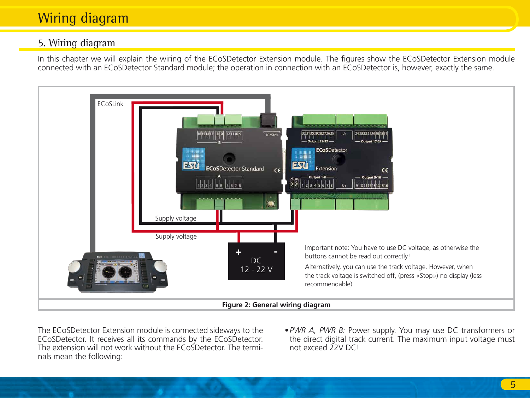# Wiring diagram

# 5. Wiring diagram

In this chapter we will explain the wiring of the ECoSDetector Extension module. The figures show the ECoSDetector Extension module connected with an ECoSDetector Standard module; the operation in connection with an ECoSDetector is, however, exactly the same.



The ECoSDetector Extension module is connected sideways to the ECoSDetector. It receives all its commands by the ECoSDetector. The extension will not work without the ECoSDetector. The terminals mean the following:

*• PWR A, PWR B:* Power supply. You may use DC transformers or the direct digital track current. The maximum input voltage must not exceed 22V DC!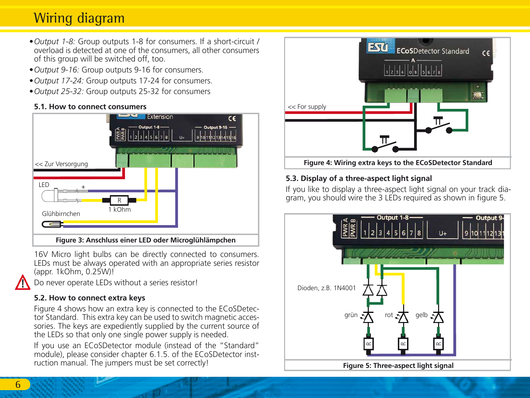# Wiring diagram

- *• Output 1-8:* Group outputs 1-8 for consumers. If a short-circuit / overload is detected at one of the consumers, all other consumers of this group will be switched off, too.
- *• Output 9-16:* Group outputs 9-16 for consumers.
- *• Output 17-24:* Group outputs 17-24 for consumers.
- *• Output 25-32:* Group outputs 25-32 for consumers

### **5.1. How to connect consumers**



16V Micro light bulbs can be directly connected to consumers. LEDs must be always operated with an appropriate series resistor (appr. 1kOhm, 0.25W)!

Do never operate LEDs without a series resistor!

### **5.2. How to connect extra keys**

Figure 4 shows how an extra key is connected to the ECoSDetector Standard. This extra key can be used to switch magnetic accessories. The keys are expediently supplied by the current source of the LEDs so that only one single power supply is needed.

If you use an ECoSDetector module (instead of the "Standard" module), please consider chapter 6.1.5. of the ECoSDetector instruction manual. The jumpers must be set correctly!



### **5.3. Display of a three-aspect light signal**

If you like to display a three-aspect light signal on your track diagram, you should wire the 3 LEDs required as shown in figure 5.

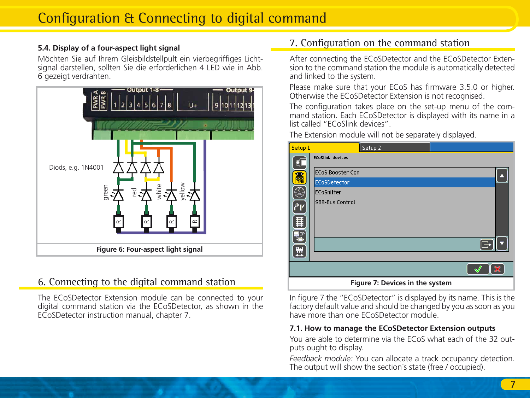#### **5.4. Display of a four-aspect light signal**

Möchten Sie auf Ihrem Gleisbildstellpult ein vierbegriffiges Lichtsignal darstellen, sollten Sie die erforderlichen 4 LED wie in Abb. 6 gezeigt verdrahten.



# 6. Connecting to the digital command station

The ECoSDetector Extension module can be connected to your digital command station via the ECoSDetector, as shown in the ECoSDetector instruction manual, chapter 7.

## 7. Configuration on the command station

After connecting the ECoSDetector and the ECoSDetector Extension to the command station the module is automatically detected and linked to the system.

Please make sure that your ECoS has firmware 3.5.0 or higher. Otherwise the ECoSDetector Extension is not recognised.

The configuration takes place on the set-up menu of the command station. Each ECoSDetector is displayed with its name in a list called "ECoSlink devices".

The Extension module will not be separately displayed.

| Setup <sub>1</sub> | Setup <sub>2</sub>              |                |
|--------------------|---------------------------------|----------------|
| EC                 | <b>ECoSlink devices</b>         |                |
| 編                  | <b>ECoS Booster Con</b>         |                |
|                    | <b>ECoSDetector</b>             |                |
| Œ                  | ECoSniffer                      |                |
| ا۴۲                | S88-Bus Control                 |                |
| 僵                  |                                 |                |
| e l                |                                 |                |
|                    |                                 |                |
| 핖                  |                                 |                |
|                    |                                 | $\pmb{\times}$ |
|                    | Figure 7: Devices in the system |                |

In figure 7 the "ECoSDetector" is displayed by its name. This is the factory default value and should be changed by you as soon as you have more than one ECoSDetector module.

#### **7.1. How to manage the ECoSDetector Extension outputs**

You are able to determine via the ECoS what each of the 32 outputs ought to display.

*Feedback module:* You can allocate a track occupancy detection. The output will show the section's state (free / occupied).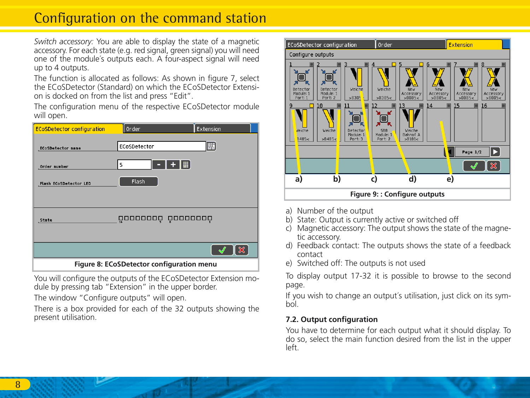# Configuration on the command station

*Switch accessory:* You are able to display the state of a magnetic accessory. For each state (e.g. red signal, green signal) you will need one of the module´s outputs each. A four-aspect signal will need up to 4 outputs.

The function is allocated as follows: As shown in figure 7, select the ECoSDetector (Standard) on which the ECoSDetector Extension is docked on from the list and press "Edit".

The configuration menu of the respective ECoSDetector module will open.

| <b>ECoSDetector configuration</b> | Order                                     | Extension |
|-----------------------------------|-------------------------------------------|-----------|
| <b>ECoSDetector name</b>          | ECoSDetector                              | 壓         |
| Order number                      | 5                                         |           |
| Flash ECoSDetector LED            | Flash                                     |           |
| State                             | 000000000 00000000                        |           |
|                                   |                                           | ×         |
|                                   | Figure 8: ECoSDetector configuration menu |           |

You will configure the outputs of the ECoSDetector Extension module by pressing tab "Extension" in the upper border.

The window "Configure outputs" will open.

There is a box provided for each of the 32 outputs showing the present utilisation.



- a) Number of the output
- b) State: Output is currently active or switched off
- c) Magnetic accessory: The output shows the state of the magnetic accessory.
- d) Feedback contact: The outputs shows the state of a feedback contact
- e) Switched off: The outputs is not used

To display output 17-32 it is possible to browse to the second page.

If you wish to change an output´s utilisation, just click on its symbol.

#### **7.2. Output configuration**

You have to determine for each output what it should display. To do so, select the main function desired from the list in the upper left.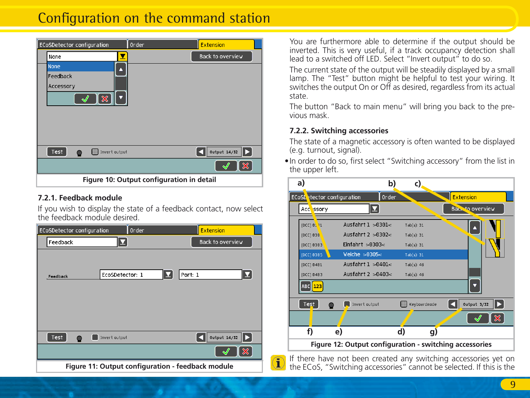# Configuration on the command station

| <b>ECoSDetector configuration</b> | <b>Extension</b><br>Order                 |
|-----------------------------------|-------------------------------------------|
| None                              | Back to overview                          |
| None<br>Δ                         |                                           |
| Feedback                          |                                           |
| Accessory                         |                                           |
| $\mathbf x$<br>۰                  |                                           |
|                                   |                                           |
|                                   |                                           |
|                                   |                                           |
|                                   |                                           |
| Test<br>Invert output             | Output $14/32$                            |
|                                   | ×                                         |
|                                   | Figure 10: Output configuration in detail |

#### **7.2.1. Feedback module**

If you wish to display the state of a feedback contact, now select the feedback module desired.

| <b>ECoSDetector configuration</b> | Order                                             | <b>Extension</b>               |
|-----------------------------------|---------------------------------------------------|--------------------------------|
| ◘<br>Feedback                     |                                                   | Back to overview               |
| EcoSDetector: 1<br>Feedback       | ◘                                                 | ◘<br>Port: 1                   |
| Test<br>Invert output             |                                                   | <b>Output 14/32</b><br>⊪⊳<br>Ю |
|                                   |                                                   | ×                              |
|                                   | Figure 11: Output configuration - feedback module |                                |

You are furthermore able to determine if the output should be inverted. This is very useful, if a track occupancy detection shall lead to a switched off LED. Select "Invert output" to do so.

The current state of the output will be steadily displayed by a small lamp. The "Test" button might be helpful to test your wiring. It switches the output On or Off as desired, regardless from its actual state.

The button "Back to main menu" will bring you back to the previous mask.

#### **7.2.2. Switching accessories**

The state of a magnetic accessory is often wanted to be displayed (e.g. turnout, signal).

• In order to do so, first select "Switching accessory" from the list in the upper left.

| a)                          | b)                                                      | c)           |                       |
|-----------------------------|---------------------------------------------------------|--------------|-----------------------|
| ECoSL etector configuration | Order                                                   |              | <b>Extension</b>      |
| Acc ssory                   | ◘                                                       |              | Back to overview      |
| [DCC] 81 11                 | Ausfahrt $1 > 0301 <$                                   | Tab(s): 31   |                       |
| [DCC] 838                   | Ausfahrt $2 > 0.302 <$                                  | Tab(s): 31   |                       |
| [DCC] 8383                  | Einfahrt $>0303<$                                       | Tab(s): 31   |                       |
| [DCC] 0305                  | Weiche $>0305<$                                         | Tab(s): 31   |                       |
| [DCC] 8481                  | Ausfahrt $1 > 0401 <$                                   | Tab(s): 46   |                       |
| [DCC] 8483                  | Ausfahrt $2 > 0403 <$                                   | Tab(s): 46   |                       |
| ABC 123                     |                                                         |              |                       |
| Test                        | Invert output                                           | Keyboardnode | Output 3/32<br>▶<br>к |
|                             |                                                         |              | ×                     |
| f)                          | e)                                                      | d)<br>g)     |                       |
|                             | Figure 12: Output configuration - switching accessories |              |                       |

If there have not been created any switching accessories yet on the ECoS, "Switching accessories" cannot be selected. If this is the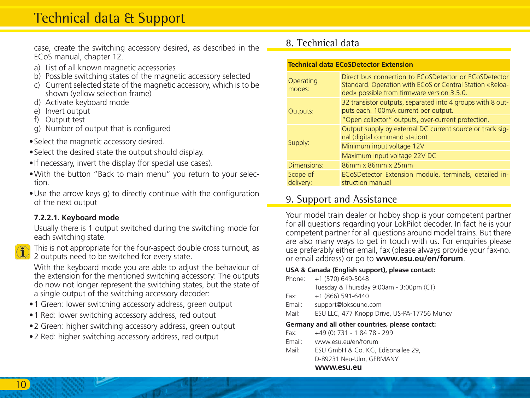# Technical data & Support

case, create the switching accessory desired, as described in the ECoS manual, chapter 12

- a) List of all known magnetic accessories
- b) Possible switching states of the magnetic accessory selected
- c) Current selected state of the magnetic accessory, which is to be shown (yellow selection frame)
- d) Activate keyboard mode
- e) Invert output
- f) Output test
- g) Number of output that is configured
- • Select the magnetic accessory desired.
- • Select the desired state the output should display.
- If necessary, invert the display (for special use cases).
- • With the button "Back to main menu" you return to your selection.
- Use the arrow keys g) to directly continue with the configuration of the next output

#### **7.2.2.1. Keyboard mode**

Usually there is 1 output switched during the switching mode for each switching state.



This is not appropriate for the four-aspect double cross turnout, as 2 outputs need to be switched for every state.

With the keyboard mode you are able to adjust the behaviour of the extension for the mentioned switching accessory: The outputs do now not longer represent the switching states, but the state of a single output of the switching accessory decoder:

- 1 Green: lower switching accessory address, green output
- 1 Red: lower switching accessory address, red output
- 2 Green: higher switching accessory address, green output
- 2 Red: higher switching accessory address, red output

### 8. Technical data

| <b>Technical data ECoSDetector Extension</b> |                                                                                                                                                                 |  |
|----------------------------------------------|-----------------------------------------------------------------------------------------------------------------------------------------------------------------|--|
| Operating<br>modes:                          | Direct bus connection to ECoSDetector or ECoSDetector<br>Standard. Operation with ECoS or Central Station «Reloa-<br>ded» possible from firmware version 3.5.0. |  |
| Outputs:                                     | 32 transistor outputs, separated into 4 groups with 8 out-<br>puts each. 100mA current per output.                                                              |  |
|                                              | "Open collector" outputs, over-current protection.                                                                                                              |  |
|                                              | Output supply by external DC current source or track sig-<br>nal (digital command station)                                                                      |  |
| Supply:                                      | Minimum input voltage 12V                                                                                                                                       |  |
|                                              | Maximum input voltage 22V DC                                                                                                                                    |  |
| Dimensions:                                  | 86mm x 86mm x 25mm                                                                                                                                              |  |
| Scope of<br>delivery:                        | ECoSDetector Extension module, terminals, detailed in-<br>struction manual                                                                                      |  |

### 9. Support and Assistance

Your model train dealer or hobby shop is your competent partner for all questions regarding your LokPilot decoder. In fact he is your competent partner for all questions around model trains. But there are also many ways to get in touch with us. For enquiries please use preferably either email, fax (please always provide your fax-no. or email address) or go to **www.esu.eu/en/forum**.

#### **USA & Canada (English support), please contact:**

Phone: +1 (570) 649-5048 Tuesday & Thursday 9:00am - 3:00pm (CT)  $Fax: +1 (866) 591 - 6440$ Email: support@loksound.com<br>Mail: ESULLC 477 Knopp Dr FSU LLC, 477 Knopp Drive, US-PA-17756 Muncy **Germany and all other countries, please contact:**  Fax: +49 (0) 731 - 1 84 78 - 299 Email: www.esu.eu/en/forum Mail: ESU GmbH & Co. KG, Edisonallee 29, D-89231 Neu-Ulm, GERMANY

**www.esu.eu**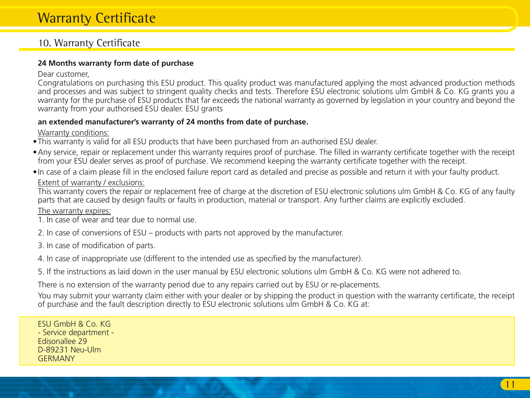## 10. Warranty Certificate

#### **24 Months warranty form date of purchase**

#### Dear customer,

Congratulations on purchasing this ESU product. This quality product was manufactured applying the most advanced production methods and processes and was subject to stringent quality checks and tests. Therefore FSU electronic solutions ulm GmbH & Co. KG grants you a warranty for the purchase of ESU products that far exceeds the national warranty as governed by legislation in your country and beyond the warranty from your authorised ESU dealer. ESU grants

#### **an extended manufacturer's warranty of 24 months from date of purchase.**

Warranty conditions:

- • This warranty is valid for all ESU products that have been purchased from an authorised ESU dealer.
- • Any service, repair or replacement under this warranty requires proof of purchase. The filled in warranty certificate together with the receipt from your ESU dealer serves as proof of purchase. We recommend keeping the warranty certificate together with the receipt.
- • In case of a claim please fill in the enclosed failure report card as detailed and precise as possible and return it with your faulty product.

#### Extent of warranty / exclusions:

This warranty covers the repair or replacement free of charge at the discretion of ESU electronic solutions ulm GmbH & Co. KG of any faulty parts that are caused by design faults or faults in production, material or transport. Any further claims are explicitly excluded.

The warranty expires:

- 1. In case of wear and tear due to normal use.
- 2. In case of conversions of ESU products with parts not approved by the manufacturer.
- 3. In case of modification of parts.
- 4. In case of inappropriate use (different to the intended use as specified by the manufacturer).
- 5. If the instructions as laid down in the user manual by ESU electronic solutions ulm GmbH & Co. KG were not adhered to.

There is no extension of the warranty period due to any repairs carried out by ESU or re-placements.

You may submit your warranty claim either with your dealer or by shipping the product in question with the warranty certificate, the receipt of purchase and the fault description directly to ESU electronic solutions ulm GmbH & Co. KG at:

ESU GmbH & Co. KG - Service department - Edisonallee 29 D-89231 Neu-Ulm **GERMANY**